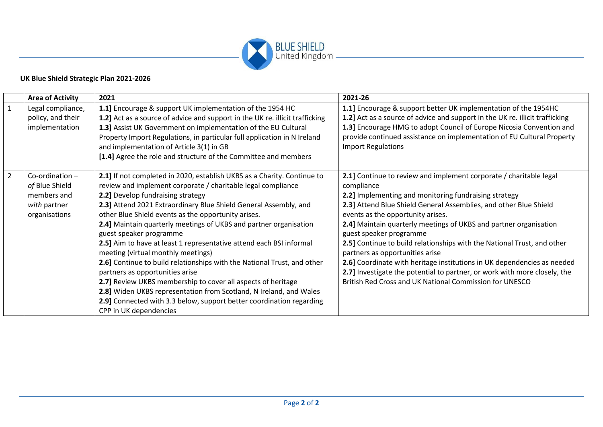

## **UK Blue Shield Strategic Plan 2021-2026**

|                | <b>Area of Activity</b>                                                             | 2021                                                                                                                                                                                                                                                                                                                                                                                                                                                                                                                                                                                                                                                                                                                                                                                                                                                                       | 2021-26                                                                                                                                                                                                                                                                                                                                                                                                                                                                                                                                                                                                                                                                              |
|----------------|-------------------------------------------------------------------------------------|----------------------------------------------------------------------------------------------------------------------------------------------------------------------------------------------------------------------------------------------------------------------------------------------------------------------------------------------------------------------------------------------------------------------------------------------------------------------------------------------------------------------------------------------------------------------------------------------------------------------------------------------------------------------------------------------------------------------------------------------------------------------------------------------------------------------------------------------------------------------------|--------------------------------------------------------------------------------------------------------------------------------------------------------------------------------------------------------------------------------------------------------------------------------------------------------------------------------------------------------------------------------------------------------------------------------------------------------------------------------------------------------------------------------------------------------------------------------------------------------------------------------------------------------------------------------------|
| $\mathbf{1}$   | Legal compliance,<br>policy, and their<br>implementation                            | 1.1] Encourage & support UK implementation of the 1954 HC<br>1.2] Act as a source of advice and support in the UK re. illicit trafficking<br>1.3] Assist UK Government on implementation of the EU Cultural<br>Property Import Regulations, in particular full application in N Ireland<br>and implementation of Article 3(1) in GB<br>[1.4] Agree the role and structure of the Committee and members                                                                                                                                                                                                                                                                                                                                                                                                                                                                     | 1.1] Encourage & support better UK implementation of the 1954HC<br>1.2] Act as a source of advice and support in the UK re. illicit trafficking<br>1.3] Encourage HMG to adopt Council of Europe Nicosia Convention and<br>provide continued assistance on implementation of EU Cultural Property<br><b>Import Regulations</b>                                                                                                                                                                                                                                                                                                                                                       |
| $\overline{2}$ | Co-ordination $-$<br>of Blue Shield<br>members and<br>with partner<br>organisations | 2.1] If not completed in 2020, establish UKBS as a Charity. Continue to<br>review and implement corporate / charitable legal compliance<br>2.2] Develop fundraising strategy<br>2.3] Attend 2021 Extraordinary Blue Shield General Assembly, and<br>other Blue Shield events as the opportunity arises.<br>2.4] Maintain quarterly meetings of UKBS and partner organisation<br>guest speaker programme<br>2.5] Aim to have at least 1 representative attend each BSI informal<br>meeting (virtual monthly meetings)<br>2.6] Continue to build relationships with the National Trust, and other<br>partners as opportunities arise<br>2.7] Review UKBS membership to cover all aspects of heritage<br>2.8] Widen UKBS representation from Scotland, N Ireland, and Wales<br>2.9] Connected with 3.3 below, support better coordination regarding<br>CPP in UK dependencies | 2.1] Continue to review and implement corporate / charitable legal<br>compliance<br>2.2] Implementing and monitoring fundraising strategy<br>2.3] Attend Blue Shield General Assemblies, and other Blue Shield<br>events as the opportunity arises.<br>2.4] Maintain quarterly meetings of UKBS and partner organisation<br>guest speaker programme<br>2.5] Continue to build relationships with the National Trust, and other<br>partners as opportunities arise<br>2.6] Coordinate with heritage institutions in UK dependencies as needed<br>2.7] Investigate the potential to partner, or work with more closely, the<br>British Red Cross and UK National Commission for UNESCO |